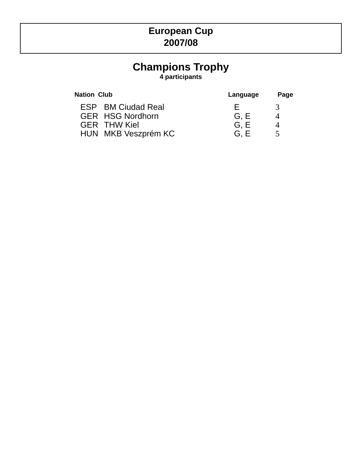# **European Cup 2007/08**

# **Champions Trophy**

**4 participants**

| <b>Nation Club</b>        | Language | Page   |
|---------------------------|----------|--------|
| <b>ESP</b> BM Ciudad Real | ⊢.       | 3      |
| <b>GER HSG Nordhorn</b>   | G.E      | 4      |
| <b>GER THW Kiel</b>       | G.E      | 4      |
| HUN MKB Veszprém KC       | G. E     | $\leq$ |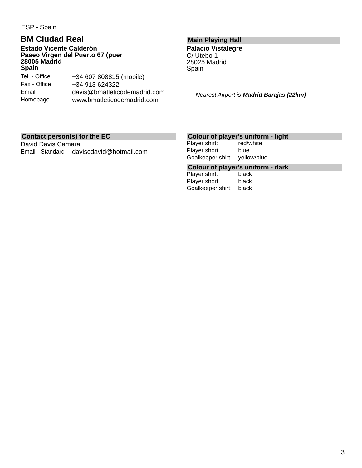ESP - Spain

# **BM Ciudad Real**

#### **Estado Vicente Calderón Paseo Virgen del Puerto 67 (puer 28005 Madrid Spain**

| Tel. - Office | +34 607 808815 (mobile)      |
|---------------|------------------------------|
| Fax - Office  | +34 913 624322               |
| Email         | davis@bmatleticodemadrid.com |
| Homepage      | www.bmatleticodemadrid.com   |

# **Main Playing Hall**

**Palacio Vistalegre** C/ Utebo 1 28025 Madrid Spain

*Nearest Airport is Madrid Barajas (22km)*

#### **Contact person(s) for the EC**

David Davis Camara Email - Standard daviscdavid@hotmail.com

### **Colour of player's uniform - light**

Player shirt: red/white Player short: blue Goalkeeper shirt: yellow/blue

# **Colour of player's uniform - dark**

Player shirt: Player short: black Goalkeeper shirt: black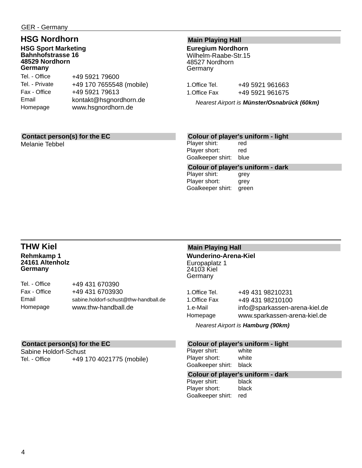# **HSG Nordhorn**

**HSG Sport Marketing Bahnhofstrasse 16 48529 Nordhorn Germany**

| +49 5921 79600           |
|--------------------------|
| +49 170 7655548 (mobile) |
| +49 5921 79613           |
| kontakt@hsgnordhorn.de   |
| www.hsgnordhorn.de       |
|                          |

## **Main Playing Hall**

**Euregium Nordhorn** Wilhelm-Raabe-Str.15 48527 Nordhorn Germany

| 1.Office Tel. | +49 5921 961663 |  |
|---------------|-----------------|--|
| 1.Office Fax  | +49 5921 961675 |  |

*Nearest Airport is Münster/Osnabrück (60km)*

### **Contact person(s) for the EC**

Melanie Tebbel

#### **Colour of player's uniform - light**

Player shirt: red Player short: red Goalkeeper shirt: blue

**Colour of player's uniform - dark**

Player shirt: grey Player short: grey Goalkeeper shirt: green

## **THW Kiel Rehmkamp 1 24161 Altenholz Germany**

| Tel. - Office | +49 431 670390                        |
|---------------|---------------------------------------|
| Fax - Office  | +49 431 6703930                       |
| Email         | sabine.holdorf-schust@thw-handball.de |
| Homepage      | www.thw-handball.de                   |

### **Main Playing Hall Wunderino-Arena-Kiel** Europaplatz 1 24103 Kiel

**Germany** 

| +49 431 98210231              |
|-------------------------------|
| +49 431 98210100              |
| info@sparkassen-arena-kiel.de |
| www.sparkassen-arena-kiel.de  |
|                               |

*Nearest Airport is Hamburg (90km)*

### **Colour of player's uniform - light**

Player shirt: white Player short: white Goalkeeper shirt: black

# **Colour of player's uniform - dark**

Player shirt: Player short: black Goalkeeper shirt: red

#### **Contact person(s) for the EC**

Sabine Holdorf-Schust Tel. - Office +49 170 4021775 (mobile)